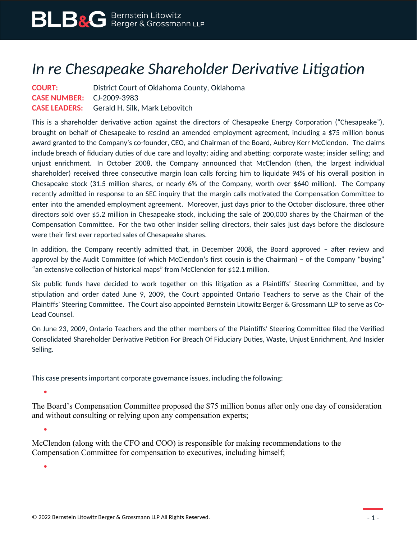## *In re Chesapeake Shareholder Derivative Litigation*

**COURT:** District Court of Oklahoma County, Oklahoma **CASE NUMBER:** CJ-2009-3983 **CASE LEADERS:** Gerald H. Silk, Mark Lebovitch

This is a shareholder derivative action against the directors of Chesapeake Energy Corporation ("Chesapeake"), brought on behalf of Chesapeake to rescind an amended employment agreement, including a \$75 million bonus award granted to the Company's co-founder, CEO, and Chairman of the Board, Aubrey Kerr McClendon. The claims include breach of fiduciary duties of due care and loyalty; aiding and abetting; corporate waste; insider selling; and unjust enrichment. In October 2008, the Company announced that McClendon (then, the largest individual shareholder) received three consecutive margin loan calls forcing him to liquidate 94% of his overall position in Chesapeake stock (31.5 million shares, or nearly 6% of the Company, worth over \$640 million). The Company recently admitted in response to an SEC inquiry that the margin calls motivated the Compensation Committee to enter into the amended employment agreement. Moreover, just days prior to the October disclosure, three other directors sold over \$5.2 million in Chesapeake stock, including the sale of 200,000 shares by the Chairman of the Compensation Committee. For the two other insider selling directors, their sales just days before the disclosure were their first ever reported sales of Chesapeake shares.

In addition, the Company recently admitted that, in December 2008, the Board approved – after review and approval by the Audit Committee (of which McClendon's first cousin is the Chairman) – of the Company "buying" "an extensive collection of historical maps" from McClendon for \$12.1 million.

Six public funds have decided to work together on this litigation as a Plaintiffs' Steering Committee, and by stipulation and order dated June 9, 2009, the Court appointed Ontario Teachers to serve as the Chair of the Plaintiffs' Steering Committee. The Court also appointed Bernstein Litowitz Berger & Grossmann LLP to serve as Co-Lead Counsel.

On June 23, 2009, Ontario Teachers and the other members of the Plaintiffs' Steering Committee filed the Verified Consolidated Shareholder Derivative Petition For Breach Of Fiduciary Duties, Waste, Unjust Enrichment, And Insider Selling.

This case presents important corporate governance issues, including the following:

ä

The Board's Compensation Committee proposed the \$75 million bonus after only one day of consideration and without consulting or relying upon any compensation experts;

McClendon (along with the CFO and COO) is responsible for making recommendations to the Compensation Committee for compensation to executives, including himself;

 $\bullet$ 

 $\bullet$